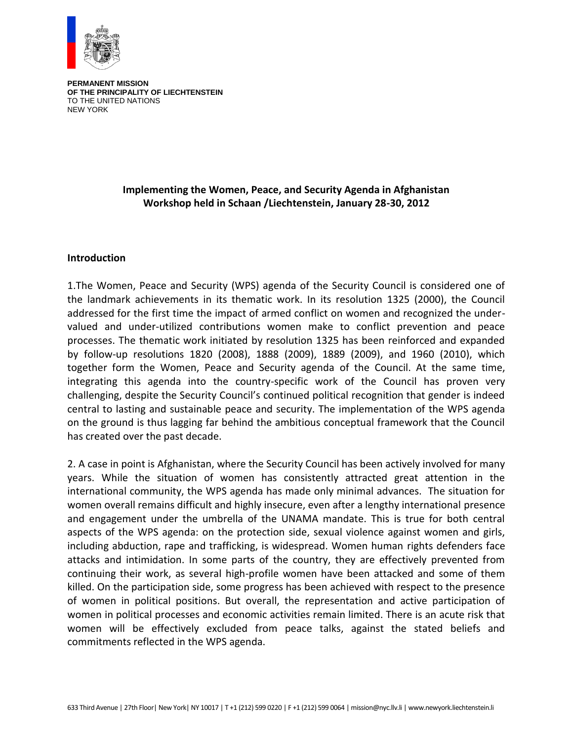

**PERMANENT MISSION OF THE PRINCIPALITY OF LIECHTENSTEIN** TO THE UNITED NATIONS NEW YORK

## **Implementing the Women, Peace, and Security Agenda in Afghanistan Workshop held in Schaan /Liechtenstein, January 28-30, 2012**

### **Introduction**

1.The Women, Peace and Security (WPS) agenda of the Security Council is considered one of the landmark achievements in its thematic work. In its resolution 1325 (2000), the Council addressed for the first time the impact of armed conflict on women and recognized the undervalued and under-utilized contributions women make to conflict prevention and peace processes. The thematic work initiated by resolution 1325 has been reinforced and expanded by follow-up resolutions 1820 (2008), 1888 (2009), 1889 (2009), and 1960 (2010), which together form the Women, Peace and Security agenda of the Council. At the same time, integrating this agenda into the country-specific work of the Council has proven very challenging, despite the Security Council's continued political recognition that gender is indeed central to lasting and sustainable peace and security. The implementation of the WPS agenda on the ground is thus lagging far behind the ambitious conceptual framework that the Council has created over the past decade.

2. A case in point is Afghanistan, where the Security Council has been actively involved for many years. While the situation of women has consistently attracted great attention in the international community, the WPS agenda has made only minimal advances. The situation for women overall remains difficult and highly insecure, even after a lengthy international presence and engagement under the umbrella of the UNAMA mandate. This is true for both central aspects of the WPS agenda: on the protection side, sexual violence against women and girls, including abduction, rape and trafficking, is widespread. Women human rights defenders face attacks and intimidation. In some parts of the country, they are effectively prevented from continuing their work, as several high-profile women have been attacked and some of them killed. On the participation side, some progress has been achieved with respect to the presence of women in political positions. But overall, the representation and active participation of women in political processes and economic activities remain limited. There is an acute risk that women will be effectively excluded from peace talks, against the stated beliefs and commitments reflected in the WPS agenda.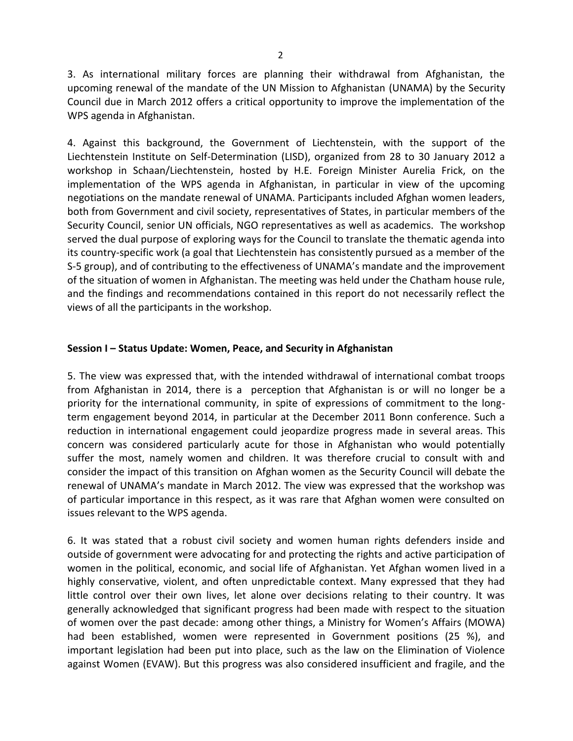3. As international military forces are planning their withdrawal from Afghanistan, the upcoming renewal of the mandate of the UN Mission to Afghanistan (UNAMA) by the Security Council due in March 2012 offers a critical opportunity to improve the implementation of the WPS agenda in Afghanistan.

4. Against this background, the Government of Liechtenstein, with the support of the Liechtenstein Institute on Self-Determination (LISD), organized from 28 to 30 January 2012 a workshop in Schaan/Liechtenstein, hosted by H.E. Foreign Minister Aurelia Frick, on the implementation of the WPS agenda in Afghanistan, in particular in view of the upcoming negotiations on the mandate renewal of UNAMA. Participants included Afghan women leaders, both from Government and civil society, representatives of States, in particular members of the Security Council, senior UN officials, NGO representatives as well as academics. The workshop served the dual purpose of exploring ways for the Council to translate the thematic agenda into its country-specific work (a goal that Liechtenstein has consistently pursued as a member of the S-5 group), and of contributing to the effectiveness of UNAMA's mandate and the improvement of the situation of women in Afghanistan. The meeting was held under the Chatham house rule, and the findings and recommendations contained in this report do not necessarily reflect the views of all the participants in the workshop.

## **Session I – Status Update: Women, Peace, and Security in Afghanistan**

5. The view was expressed that, with the intended withdrawal of international combat troops from Afghanistan in 2014, there is a perception that Afghanistan is or will no longer be a priority for the international community, in spite of expressions of commitment to the longterm engagement beyond 2014, in particular at the December 2011 Bonn conference. Such a reduction in international engagement could jeopardize progress made in several areas. This concern was considered particularly acute for those in Afghanistan who would potentially suffer the most, namely women and children. It was therefore crucial to consult with and consider the impact of this transition on Afghan women as the Security Council will debate the renewal of UNAMA's mandate in March 2012. The view was expressed that the workshop was of particular importance in this respect, as it was rare that Afghan women were consulted on issues relevant to the WPS agenda.

6. It was stated that a robust civil society and women human rights defenders inside and outside of government were advocating for and protecting the rights and active participation of women in the political, economic, and social life of Afghanistan. Yet Afghan women lived in a highly conservative, violent, and often unpredictable context. Many expressed that they had little control over their own lives, let alone over decisions relating to their country. It was generally acknowledged that significant progress had been made with respect to the situation of women over the past decade: among other things, a Ministry for Women's Affairs (MOWA) had been established, women were represented in Government positions (25 %), and important legislation had been put into place, such as the law on the Elimination of Violence against Women (EVAW). But this progress was also considered insufficient and fragile, and the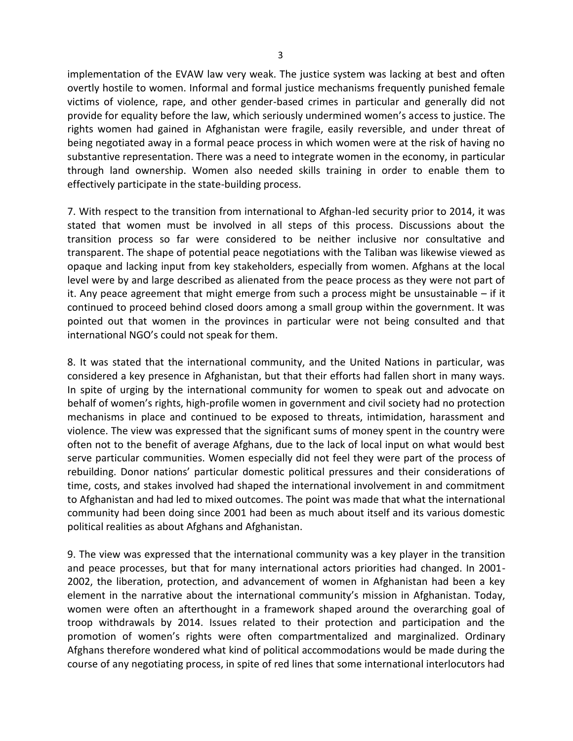implementation of the EVAW law very weak. The justice system was lacking at best and often overtly hostile to women. Informal and formal justice mechanisms frequently punished female victims of violence, rape, and other gender-based crimes in particular and generally did not provide for equality before the law, which seriously undermined women's access to justice. The rights women had gained in Afghanistan were fragile, easily reversible, and under threat of being negotiated away in a formal peace process in which women were at the risk of having no substantive representation. There was a need to integrate women in the economy, in particular through land ownership. Women also needed skills training in order to enable them to effectively participate in the state-building process.

7. With respect to the transition from international to Afghan-led security prior to 2014, it was stated that women must be involved in all steps of this process. Discussions about the transition process so far were considered to be neither inclusive nor consultative and transparent. The shape of potential peace negotiations with the Taliban was likewise viewed as opaque and lacking input from key stakeholders, especially from women. Afghans at the local level were by and large described as alienated from the peace process as they were not part of it. Any peace agreement that might emerge from such a process might be unsustainable – if it continued to proceed behind closed doors among a small group within the government. It was pointed out that women in the provinces in particular were not being consulted and that international NGO's could not speak for them.

8. It was stated that the international community, and the United Nations in particular, was considered a key presence in Afghanistan, but that their efforts had fallen short in many ways. In spite of urging by the international community for women to speak out and advocate on behalf of women's rights, high-profile women in government and civil society had no protection mechanisms in place and continued to be exposed to threats, intimidation, harassment and violence. The view was expressed that the significant sums of money spent in the country were often not to the benefit of average Afghans, due to the lack of local input on what would best serve particular communities. Women especially did not feel they were part of the process of rebuilding. Donor nations' particular domestic political pressures and their considerations of time, costs, and stakes involved had shaped the international involvement in and commitment to Afghanistan and had led to mixed outcomes. The point was made that what the international community had been doing since 2001 had been as much about itself and its various domestic political realities as about Afghans and Afghanistan.

9. The view was expressed that the international community was a key player in the transition and peace processes, but that for many international actors priorities had changed. In 2001- 2002, the liberation, protection, and advancement of women in Afghanistan had been a key element in the narrative about the international community's mission in Afghanistan. Today, women were often an afterthought in a framework shaped around the overarching goal of troop withdrawals by 2014. Issues related to their protection and participation and the promotion of women's rights were often compartmentalized and marginalized. Ordinary Afghans therefore wondered what kind of political accommodations would be made during the course of any negotiating process, in spite of red lines that some international interlocutors had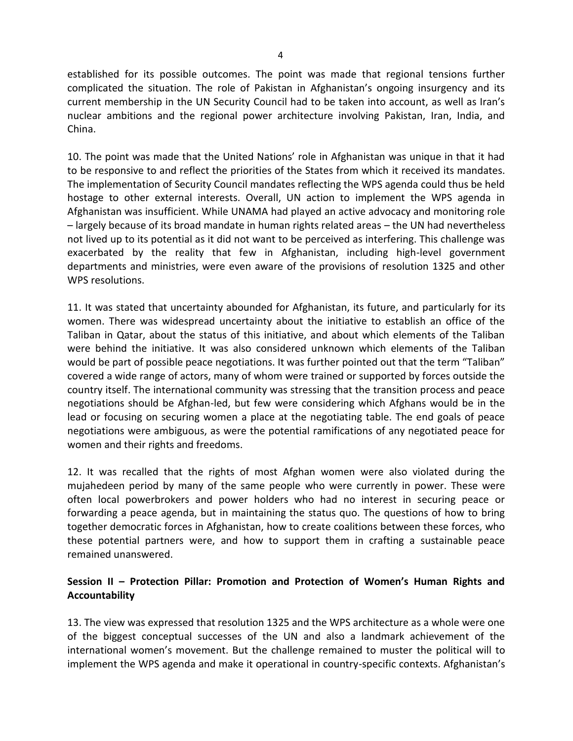established for its possible outcomes. The point was made that regional tensions further complicated the situation. The role of Pakistan in Afghanistan's ongoing insurgency and its current membership in the UN Security Council had to be taken into account, as well as Iran's nuclear ambitions and the regional power architecture involving Pakistan, Iran, India, and China.

10. The point was made that the United Nations' role in Afghanistan was unique in that it had to be responsive to and reflect the priorities of the States from which it received its mandates. The implementation of Security Council mandates reflecting the WPS agenda could thus be held hostage to other external interests. Overall, UN action to implement the WPS agenda in Afghanistan was insufficient. While UNAMA had played an active advocacy and monitoring role – largely because of its broad mandate in human rights related areas – the UN had nevertheless not lived up to its potential as it did not want to be perceived as interfering. This challenge was exacerbated by the reality that few in Afghanistan, including high-level government departments and ministries, were even aware of the provisions of resolution 1325 and other WPS resolutions.

11. It was stated that uncertainty abounded for Afghanistan, its future, and particularly for its women. There was widespread uncertainty about the initiative to establish an office of the Taliban in Qatar, about the status of this initiative, and about which elements of the Taliban were behind the initiative. It was also considered unknown which elements of the Taliban would be part of possible peace negotiations. It was further pointed out that the term "Taliban" covered a wide range of actors, many of whom were trained or supported by forces outside the country itself. The international community was stressing that the transition process and peace negotiations should be Afghan-led, but few were considering which Afghans would be in the lead or focusing on securing women a place at the negotiating table. The end goals of peace negotiations were ambiguous, as were the potential ramifications of any negotiated peace for women and their rights and freedoms.

12. It was recalled that the rights of most Afghan women were also violated during the mujahedeen period by many of the same people who were currently in power. These were often local powerbrokers and power holders who had no interest in securing peace or forwarding a peace agenda, but in maintaining the status quo. The questions of how to bring together democratic forces in Afghanistan, how to create coalitions between these forces, who these potential partners were, and how to support them in crafting a sustainable peace remained unanswered.

## **Session II – Protection Pillar: Promotion and Protection of Women's Human Rights and Accountability**

13. The view was expressed that resolution 1325 and the WPS architecture as a whole were one of the biggest conceptual successes of the UN and also a landmark achievement of the international women's movement. But the challenge remained to muster the political will to implement the WPS agenda and make it operational in country-specific contexts. Afghanistan's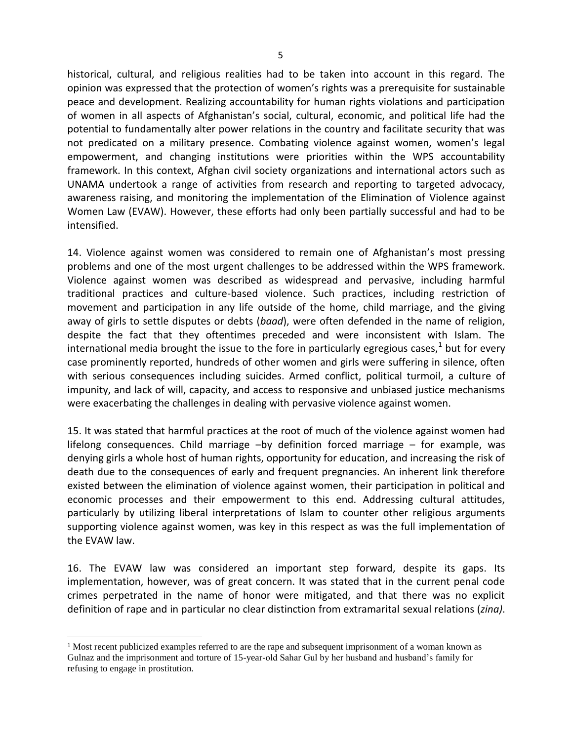historical, cultural, and religious realities had to be taken into account in this regard. The opinion was expressed that the protection of women's rights was a prerequisite for sustainable peace and development. Realizing accountability for human rights violations and participation of women in all aspects of Afghanistan's social, cultural, economic, and political life had the potential to fundamentally alter power relations in the country and facilitate security that was not predicated on a military presence. Combating violence against women, women's legal empowerment, and changing institutions were priorities within the WPS accountability framework. In this context, Afghan civil society organizations and international actors such as UNAMA undertook a range of activities from research and reporting to targeted advocacy, awareness raising, and monitoring the implementation of the Elimination of Violence against Women Law (EVAW). However, these efforts had only been partially successful and had to be intensified.

14. Violence against women was considered to remain one of Afghanistan's most pressing problems and one of the most urgent challenges to be addressed within the WPS framework. Violence against women was described as widespread and pervasive, including harmful traditional practices and culture-based violence. Such practices, including restriction of movement and participation in any life outside of the home, child marriage, and the giving away of girls to settle disputes or debts (*baad*), were often defended in the name of religion, despite the fact that they oftentimes preceded and were inconsistent with Islam. The international media brought the issue to the fore in particularly egregious cases,<sup>1</sup> but for every case prominently reported, hundreds of other women and girls were suffering in silence, often with serious consequences including suicides. Armed conflict, political turmoil, a culture of impunity, and lack of will, capacity, and access to responsive and unbiased justice mechanisms were exacerbating the challenges in dealing with pervasive violence against women.

15. It was stated that harmful practices at the root of much of the violence against women had lifelong consequences. Child marriage –by definition forced marriage – for example, was denying girls a whole host of human rights, opportunity for education, and increasing the risk of death due to the consequences of early and frequent pregnancies. An inherent link therefore existed between the elimination of violence against women, their participation in political and economic processes and their empowerment to this end. Addressing cultural attitudes, particularly by utilizing liberal interpretations of Islam to counter other religious arguments supporting violence against women, was key in this respect as was the full implementation of the EVAW law.

16. The EVAW law was considered an important step forward, despite its gaps. Its implementation, however, was of great concern. It was stated that in the current penal code crimes perpetrated in the name of honor were mitigated, and that there was no explicit definition of rape and in particular no clear distinction from extramarital sexual relations (*zina)*.

 $\overline{a}$ 

<sup>1</sup> Most recent publicized examples referred to are the rape and subsequent imprisonment of a woman known as Gulnaz and the imprisonment and torture of 15-year-old Sahar Gul by her husband and husband's family for refusing to engage in prostitution.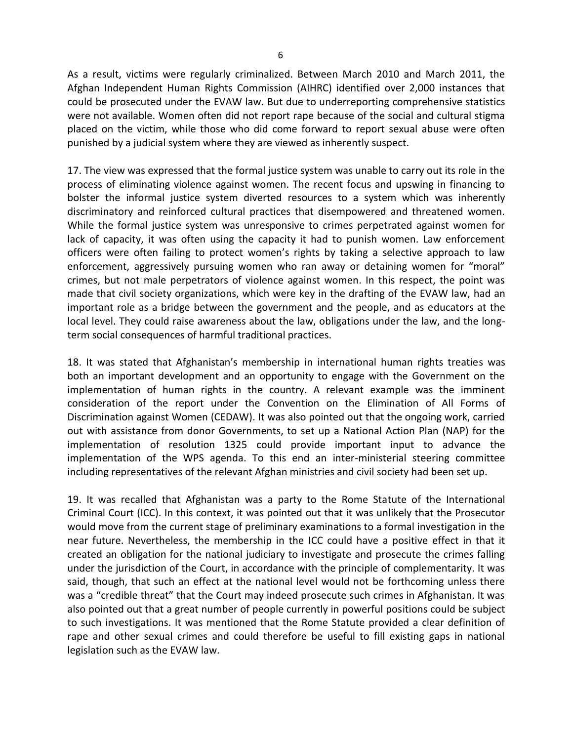As a result, victims were regularly criminalized. Between March 2010 and March 2011, the Afghan Independent Human Rights Commission (AIHRC) identified over 2,000 instances that could be prosecuted under the EVAW law. But due to underreporting comprehensive statistics were not available. Women often did not report rape because of the social and cultural stigma placed on the victim, while those who did come forward to report sexual abuse were often punished by a judicial system where they are viewed as inherently suspect.

17. The view was expressed that the formal justice system was unable to carry out its role in the process of eliminating violence against women. The recent focus and upswing in financing to bolster the informal justice system diverted resources to a system which was inherently discriminatory and reinforced cultural practices that disempowered and threatened women. While the formal justice system was unresponsive to crimes perpetrated against women for lack of capacity, it was often using the capacity it had to punish women. Law enforcement officers were often failing to protect women's rights by taking a selective approach to law enforcement, aggressively pursuing women who ran away or detaining women for "moral" crimes, but not male perpetrators of violence against women. In this respect, the point was made that civil society organizations, which were key in the drafting of the EVAW law, had an important role as a bridge between the government and the people, and as educators at the local level. They could raise awareness about the law, obligations under the law, and the longterm social consequences of harmful traditional practices.

18. It was stated that Afghanistan's membership in international human rights treaties was both an important development and an opportunity to engage with the Government on the implementation of human rights in the country. A relevant example was the imminent consideration of the report under the Convention on the Elimination of All Forms of Discrimination against Women (CEDAW). It was also pointed out that the ongoing work, carried out with assistance from donor Governments, to set up a National Action Plan (NAP) for the implementation of resolution 1325 could provide important input to advance the implementation of the WPS agenda. To this end an inter-ministerial steering committee including representatives of the relevant Afghan ministries and civil society had been set up.

19. It was recalled that Afghanistan was a party to the Rome Statute of the International Criminal Court (ICC). In this context, it was pointed out that it was unlikely that the Prosecutor would move from the current stage of preliminary examinations to a formal investigation in the near future. Nevertheless, the membership in the ICC could have a positive effect in that it created an obligation for the national judiciary to investigate and prosecute the crimes falling under the jurisdiction of the Court, in accordance with the principle of complementarity. It was said, though, that such an effect at the national level would not be forthcoming unless there was a "credible threat" that the Court may indeed prosecute such crimes in Afghanistan. It was also pointed out that a great number of people currently in powerful positions could be subject to such investigations. It was mentioned that the Rome Statute provided a clear definition of rape and other sexual crimes and could therefore be useful to fill existing gaps in national legislation such as the EVAW law.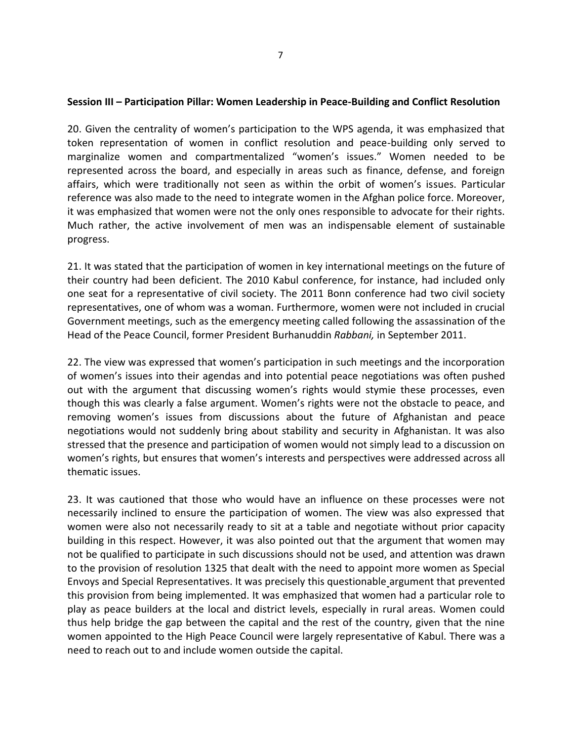#### **Session III – Participation Pillar: Women Leadership in Peace-Building and Conflict Resolution**

20. Given the centrality of women's participation to the WPS agenda, it was emphasized that token representation of women in conflict resolution and peace-building only served to marginalize women and compartmentalized "women's issues." Women needed to be represented across the board, and especially in areas such as finance, defense, and foreign affairs, which were traditionally not seen as within the orbit of women's issues. Particular reference was also made to the need to integrate women in the Afghan police force. Moreover, it was emphasized that women were not the only ones responsible to advocate for their rights. Much rather, the active involvement of men was an indispensable element of sustainable progress.

21. It was stated that the participation of women in key international meetings on the future of their country had been deficient. The 2010 Kabul conference, for instance, had included only one seat for a representative of civil society. The 2011 Bonn conference had two civil society representatives, one of whom was a woman. Furthermore, women were not included in crucial Government meetings, such as the emergency meeting called following the assassination of the Head of the Peace Council, former President Burhanuddin *Rabbani,* in September 2011.

22. The view was expressed that women's participation in such meetings and the incorporation of women's issues into their agendas and into potential peace negotiations was often pushed out with the argument that discussing women's rights would stymie these processes, even though this was clearly a false argument. Women's rights were not the obstacle to peace, and removing women's issues from discussions about the future of Afghanistan and peace negotiations would not suddenly bring about stability and security in Afghanistan. It was also stressed that the presence and participation of women would not simply lead to a discussion on women's rights, but ensures that women's interests and perspectives were addressed across all thematic issues.

23. It was cautioned that those who would have an influence on these processes were not necessarily inclined to ensure the participation of women. The view was also expressed that women were also not necessarily ready to sit at a table and negotiate without prior capacity building in this respect. However, it was also pointed out that the argument that women may not be qualified to participate in such discussions should not be used, and attention was drawn to the provision of resolution 1325 that dealt with the need to appoint more women as Special Envoys and Special Representatives. It was precisely this questionable argument that prevented this provision from being implemented. It was emphasized that women had a particular role to play as peace builders at the local and district levels, especially in rural areas. Women could thus help bridge the gap between the capital and the rest of the country, given that the nine women appointed to the High Peace Council were largely representative of Kabul. There was a need to reach out to and include women outside the capital.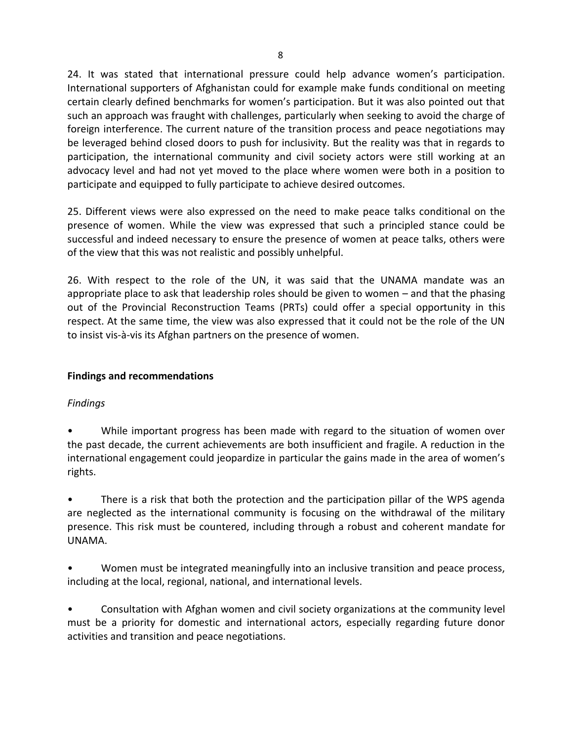24. It was stated that international pressure could help advance women's participation. International supporters of Afghanistan could for example make funds conditional on meeting certain clearly defined benchmarks for women's participation. But it was also pointed out that such an approach was fraught with challenges, particularly when seeking to avoid the charge of foreign interference. The current nature of the transition process and peace negotiations may be leveraged behind closed doors to push for inclusivity. But the reality was that in regards to participation, the international community and civil society actors were still working at an advocacy level and had not yet moved to the place where women were both in a position to participate and equipped to fully participate to achieve desired outcomes.

25. Different views were also expressed on the need to make peace talks conditional on the presence of women. While the view was expressed that such a principled stance could be successful and indeed necessary to ensure the presence of women at peace talks, others were of the view that this was not realistic and possibly unhelpful.

26. With respect to the role of the UN, it was said that the UNAMA mandate was an appropriate place to ask that leadership roles should be given to women – and that the phasing out of the Provincial Reconstruction Teams (PRTs) could offer a special opportunity in this respect. At the same time, the view was also expressed that it could not be the role of the UN to insist vis-à-vis its Afghan partners on the presence of women.

# **Findings and recommendations**

## *Findings*

• While important progress has been made with regard to the situation of women over the past decade, the current achievements are both insufficient and fragile. A reduction in the international engagement could jeopardize in particular the gains made in the area of women's rights.

There is a risk that both the protection and the participation pillar of the WPS agenda are neglected as the international community is focusing on the withdrawal of the military presence. This risk must be countered, including through a robust and coherent mandate for UNAMA.

• Women must be integrated meaningfully into an inclusive transition and peace process, including at the local, regional, national, and international levels.

• Consultation with Afghan women and civil society organizations at the community level must be a priority for domestic and international actors, especially regarding future donor activities and transition and peace negotiations.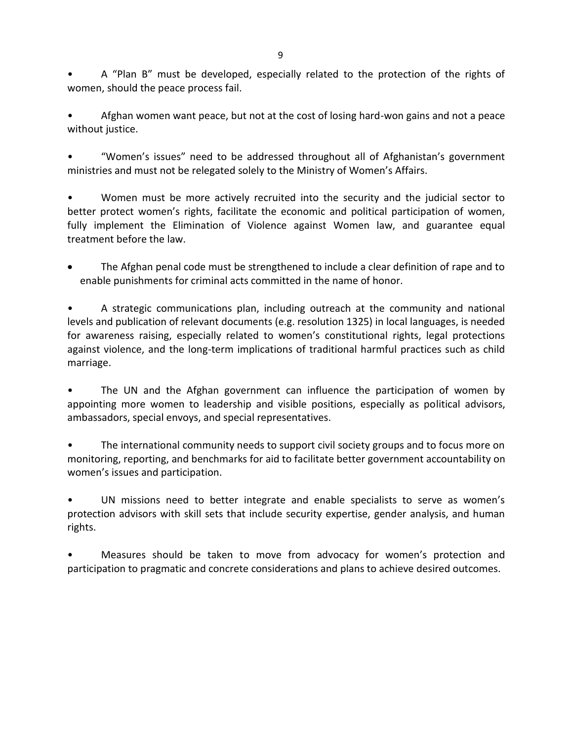• A "Plan B" must be developed, especially related to the protection of the rights of women, should the peace process fail.

• Afghan women want peace, but not at the cost of losing hard-won gains and not a peace without justice.

• "Women's issues" need to be addressed throughout all of Afghanistan's government ministries and must not be relegated solely to the Ministry of Women's Affairs.

• Women must be more actively recruited into the security and the judicial sector to better protect women's rights, facilitate the economic and political participation of women, fully implement the Elimination of Violence against Women law, and guarantee equal treatment before the law.

 The Afghan penal code must be strengthened to include a clear definition of rape and to enable punishments for criminal acts committed in the name of honor.

A strategic communications plan, including outreach at the community and national levels and publication of relevant documents (e.g. resolution 1325) in local languages, is needed for awareness raising, especially related to women's constitutional rights, legal protections against violence, and the long-term implications of traditional harmful practices such as child marriage.

The UN and the Afghan government can influence the participation of women by appointing more women to leadership and visible positions, especially as political advisors, ambassadors, special envoys, and special representatives.

The international community needs to support civil society groups and to focus more on monitoring, reporting, and benchmarks for aid to facilitate better government accountability on women's issues and participation.

UN missions need to better integrate and enable specialists to serve as women's protection advisors with skill sets that include security expertise, gender analysis, and human rights.

• Measures should be taken to move from advocacy for women's protection and participation to pragmatic and concrete considerations and plans to achieve desired outcomes.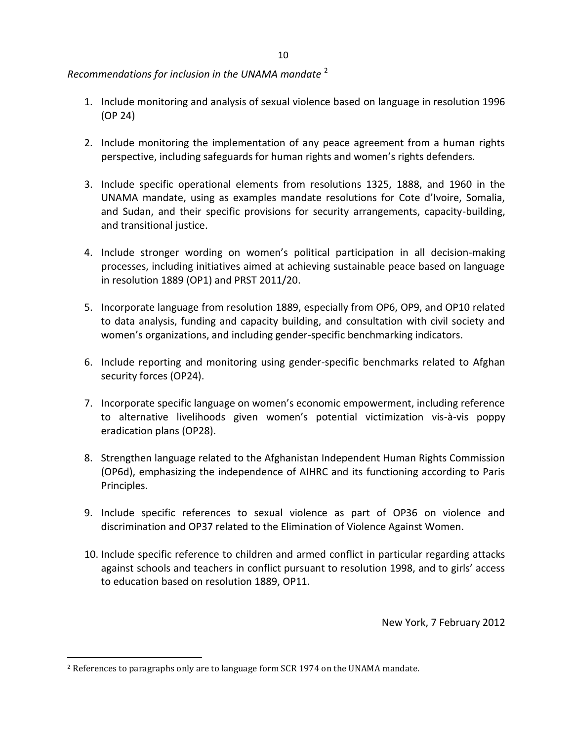*Recommendations for inclusion in the UNAMA mandate* <sup>2</sup>

- 1. Include monitoring and analysis of sexual violence based on language in resolution 1996 (OP 24)
- 2. Include monitoring the implementation of any peace agreement from a human rights perspective, including safeguards for human rights and women's rights defenders.
- 3. Include specific operational elements from resolutions 1325, 1888, and 1960 in the UNAMA mandate, using as examples mandate resolutions for Cote d'Ivoire, Somalia, and Sudan, and their specific provisions for security arrangements, capacity-building, and transitional justice.
- 4. Include stronger wording on women's political participation in all decision-making processes, including initiatives aimed at achieving sustainable peace based on language in resolution 1889 (OP1) and PRST 2011/20.
- 5. Incorporate language from resolution 1889, especially from OP6, OP9, and OP10 related to data analysis, funding and capacity building, and consultation with civil society and women's organizations, and including gender-specific benchmarking indicators.
- 6. Include reporting and monitoring using gender-specific benchmarks related to Afghan security forces (OP24).
- 7. Incorporate specific language on women's economic empowerment, including reference to alternative livelihoods given women's potential victimization vis-à-vis poppy eradication plans (OP28).
- 8. Strengthen language related to the Afghanistan Independent Human Rights Commission (OP6d), emphasizing the independence of AIHRC and its functioning according to Paris Principles.
- 9. Include specific references to sexual violence as part of OP36 on violence and discrimination and OP37 related to the Elimination of Violence Against Women.
- 10. Include specific reference to children and armed conflict in particular regarding attacks against schools and teachers in conflict pursuant to resolution 1998, and to girls' access to education based on resolution 1889, OP11.

New York, 7 February 2012

 $\overline{a}$ 

<sup>2</sup> References to paragraphs only are to language form SCR 1974 on the UNAMA mandate.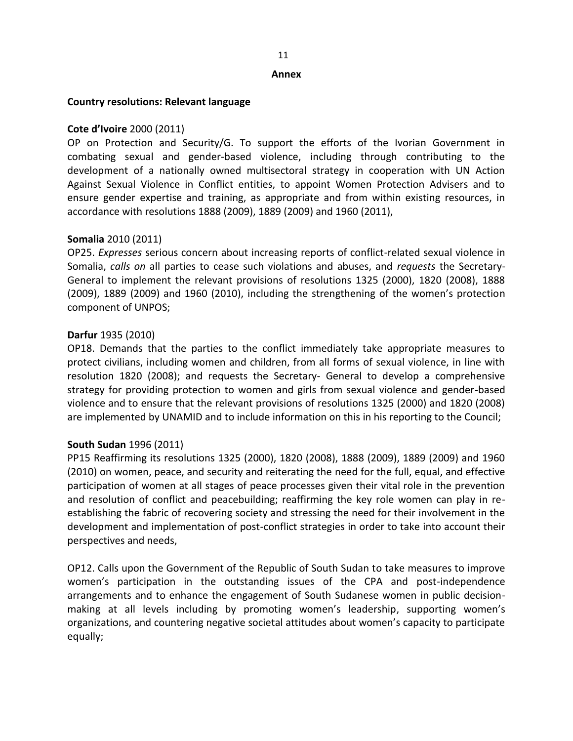#### **Annex**

#### **Country resolutions: Relevant language**

### **Cote d'Ivoire** 2000 (2011)

OP on Protection and Security/G. To support the efforts of the Ivorian Government in combating sexual and gender-based violence, including through contributing to the development of a nationally owned multisectoral strategy in cooperation with UN Action Against Sexual Violence in Conflict entities, to appoint Women Protection Advisers and to ensure gender expertise and training, as appropriate and from within existing resources, in accordance with resolutions 1888 (2009), 1889 (2009) and 1960 (2011),

#### **Somalia** 2010 (2011)

OP25. *Expresses* serious concern about increasing reports of conflict-related sexual violence in Somalia, *calls on* all parties to cease such violations and abuses, and *requests* the Secretary-General to implement the relevant provisions of resolutions 1325 (2000), 1820 (2008), 1888 (2009), 1889 (2009) and 1960 (2010), including the strengthening of the women's protection component of UNPOS;

### **Darfur** 1935 (2010)

OP18. Demands that the parties to the conflict immediately take appropriate measures to protect civilians, including women and children, from all forms of sexual violence, in line with resolution 1820 (2008); and requests the Secretary- General to develop a comprehensive strategy for providing protection to women and girls from sexual violence and gender-based violence and to ensure that the relevant provisions of resolutions 1325 (2000) and 1820 (2008) are implemented by UNAMID and to include information on this in his reporting to the Council;

#### **South Sudan** 1996 (2011)

PP15 Reaffirming its resolutions 1325 (2000), 1820 (2008), 1888 (2009), 1889 (2009) and 1960 (2010) on women, peace, and security and reiterating the need for the full, equal, and effective participation of women at all stages of peace processes given their vital role in the prevention and resolution of conflict and peacebuilding; reaffirming the key role women can play in reestablishing the fabric of recovering society and stressing the need for their involvement in the development and implementation of post-conflict strategies in order to take into account their perspectives and needs,

OP12. Calls upon the Government of the Republic of South Sudan to take measures to improve women's participation in the outstanding issues of the CPA and post-independence arrangements and to enhance the engagement of South Sudanese women in public decisionmaking at all levels including by promoting women's leadership, supporting women's organizations, and countering negative societal attitudes about women's capacity to participate equally;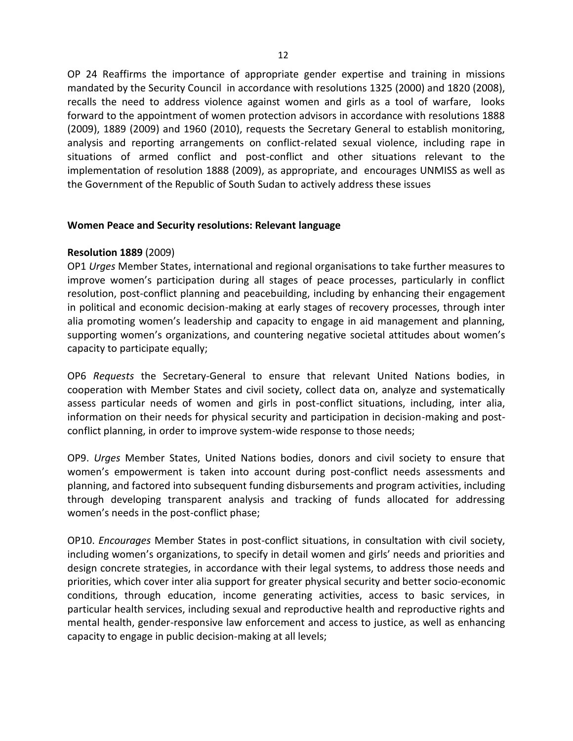OP 24 Reaffirms the importance of appropriate gender expertise and training in missions mandated by the Security Council in accordance with resolutions 1325 (2000) and 1820 (2008), recalls the need to address violence against women and girls as a tool of warfare, looks forward to the appointment of women protection advisors in accordance with resolutions 1888 (2009), 1889 (2009) and 1960 (2010), requests the Secretary General to establish monitoring, analysis and reporting arrangements on conflict-related sexual violence, including rape in situations of armed conflict and post-conflict and other situations relevant to the implementation of resolution 1888 (2009), as appropriate, and encourages UNMISS as well as the Government of the Republic of South Sudan to actively address these issues

### **Women Peace and Security resolutions: Relevant language**

## **Resolution 1889** (2009)

OP1 *Urges* Member States, international and regional organisations to take further measures to improve women's participation during all stages of peace processes, particularly in conflict resolution, post-conflict planning and peacebuilding, including by enhancing their engagement in political and economic decision-making at early stages of recovery processes, through inter alia promoting women's leadership and capacity to engage in aid management and planning, supporting women's organizations, and countering negative societal attitudes about women's capacity to participate equally;

OP6 *Requests* the Secretary-General to ensure that relevant United Nations bodies, in cooperation with Member States and civil society, collect data on, analyze and systematically assess particular needs of women and girls in post-conflict situations, including, inter alia, information on their needs for physical security and participation in decision-making and postconflict planning, in order to improve system-wide response to those needs;

OP9. *Urges* Member States, United Nations bodies, donors and civil society to ensure that women's empowerment is taken into account during post-conflict needs assessments and planning, and factored into subsequent funding disbursements and program activities, including through developing transparent analysis and tracking of funds allocated for addressing women's needs in the post-conflict phase;

OP10. *Encourages* Member States in post-conflict situations, in consultation with civil society, including women's organizations, to specify in detail women and girls' needs and priorities and design concrete strategies, in accordance with their legal systems, to address those needs and priorities, which cover inter alia support for greater physical security and better socio-economic conditions, through education, income generating activities, access to basic services, in particular health services, including sexual and reproductive health and reproductive rights and mental health, gender-responsive law enforcement and access to justice, as well as enhancing capacity to engage in public decision-making at all levels;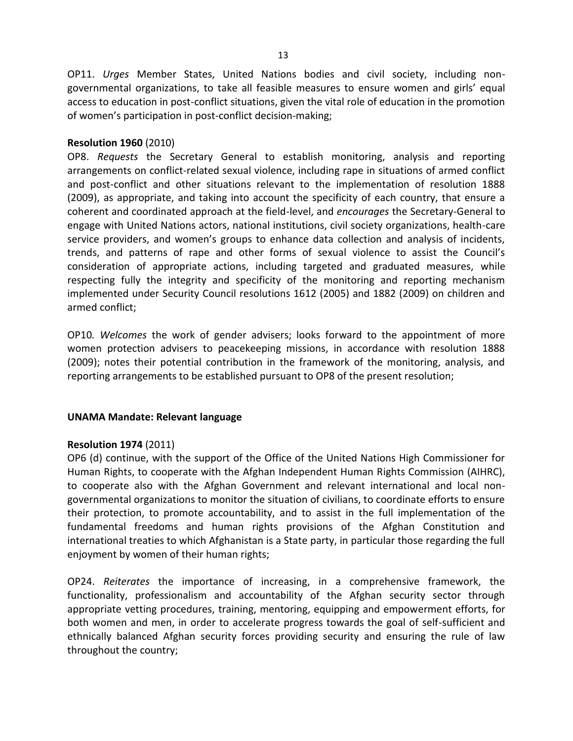OP11. *Urges* Member States, United Nations bodies and civil society, including nongovernmental organizations, to take all feasible measures to ensure women and girls' equal access to education in post-conflict situations, given the vital role of education in the promotion of women's participation in post-conflict decision-making;

### **Resolution 1960** (2010)

OP8. *Requests* the Secretary General to establish monitoring, analysis and reporting arrangements on conflict-related sexual violence, including rape in situations of armed conflict and post-conflict and other situations relevant to the implementation of resolution 1888 (2009), as appropriate, and taking into account the specificity of each country, that ensure a coherent and coordinated approach at the field-level, and *encourages* the Secretary-General to engage with United Nations actors, national institutions, civil society organizations, health-care service providers, and women's groups to enhance data collection and analysis of incidents, trends, and patterns of rape and other forms of sexual violence to assist the Council's consideration of appropriate actions, including targeted and graduated measures, while respecting fully the integrity and specificity of the monitoring and reporting mechanism implemented under Security Council resolutions 1612 (2005) and 1882 (2009) on children and armed conflict;

OP10*. Welcomes* the work of gender advisers; looks forward to the appointment of more women protection advisers to peacekeeping missions, in accordance with resolution 1888 (2009); notes their potential contribution in the framework of the monitoring, analysis, and reporting arrangements to be established pursuant to OP8 of the present resolution;

## **UNAMA Mandate: Relevant language**

## **Resolution 1974** (2011)

OP6 (d) continue, with the support of the Office of the United Nations High Commissioner for Human Rights, to cooperate with the Afghan Independent Human Rights Commission (AIHRC), to cooperate also with the Afghan Government and relevant international and local nongovernmental organizations to monitor the situation of civilians, to coordinate efforts to ensure their protection, to promote accountability, and to assist in the full implementation of the fundamental freedoms and human rights provisions of the Afghan Constitution and international treaties to which Afghanistan is a State party, in particular those regarding the full enjoyment by women of their human rights;

OP24. *Reiterates* the importance of increasing, in a comprehensive framework, the functionality, professionalism and accountability of the Afghan security sector through appropriate vetting procedures, training, mentoring, equipping and empowerment efforts, for both women and men, in order to accelerate progress towards the goal of self-sufficient and ethnically balanced Afghan security forces providing security and ensuring the rule of law throughout the country;